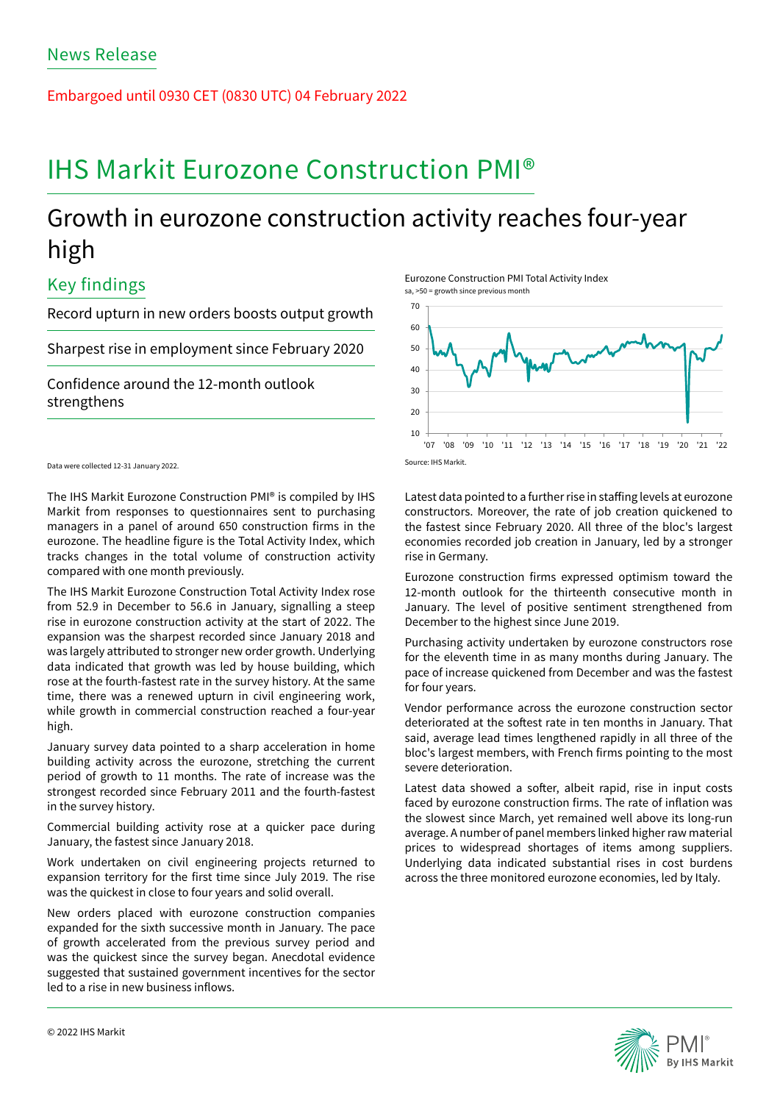Embargoed until 0930 CET (0830 UTC) 04 February 2022

# IHS Markit Eurozone Construction PMI®

## Growth in eurozone construction activity reaches four-year high

## Key findings

Record upturn in new orders boosts output growth

Sharpest rise in employment since February 2020

Confidence around the 12-month outlook strengthens

Data were collected 12-31 January 2022.

The IHS Markit Eurozone Construction PMI® is compiled by IHS Markit from responses to questionnaires sent to purchasing managers in a panel of around 650 construction firms in the eurozone. The headline figure is the Total Activity Index, which tracks changes in the total volume of construction activity compared with one month previously.

The IHS Markit Eurozone Construction Total Activity Index rose from 52.9 in December to 56.6 in January, signalling a steep rise in eurozone construction activity at the start of 2022. The expansion was the sharpest recorded since January 2018 and was largely attributed to stronger new order growth. Underlying data indicated that growth was led by house building, which rose at the fourth-fastest rate in the survey history. At the same time, there was a renewed upturn in civil engineering work, while growth in commercial construction reached a four-year high.

January survey data pointed to a sharp acceleration in home building activity across the eurozone, stretching the current period of growth to 11 months. The rate of increase was the strongest recorded since February 2011 and the fourth-fastest in the survey history.

Commercial building activity rose at a quicker pace during January, the fastest since January 2018.

Work undertaken on civil engineering projects returned to expansion territory for the first time since July 2019. The rise was the quickest in close to four years and solid overall.

New orders placed with eurozone construction companies expanded for the sixth successive month in January. The pace of growth accelerated from the previous survey period and was the quickest since the survey began. Anecdotal evidence suggested that sustained government incentives for the sector led to a rise in new business inflows.

Eurozone Construction PMI Total Activity Index sa, >50 = growth since previous month



Source: IHS Markit.

Latest data pointed to a further rise in staffing levels at eurozone constructors. Moreover, the rate of job creation quickened to the fastest since February 2020. All three of the bloc's largest economies recorded job creation in January, led by a stronger rise in Germany.

Eurozone construction firms expressed optimism toward the 12-month outlook for the thirteenth consecutive month in January. The level of positive sentiment strengthened from December to the highest since June 2019.

Purchasing activity undertaken by eurozone constructors rose for the eleventh time in as many months during January. The pace of increase quickened from December and was the fastest for four years.

Vendor performance across the eurozone construction sector deteriorated at the softest rate in ten months in January. That said, average lead times lengthened rapidly in all three of the bloc's largest members, with French firms pointing to the most severe deterioration.

Latest data showed a softer, albeit rapid, rise in input costs faced by eurozone construction firms. The rate of inflation was the slowest since March, yet remained well above its long-run average. A number of panel members linked higher raw material prices to widespread shortages of items among suppliers. Underlying data indicated substantial rises in cost burdens across the three monitored eurozone economies, led by Italy.